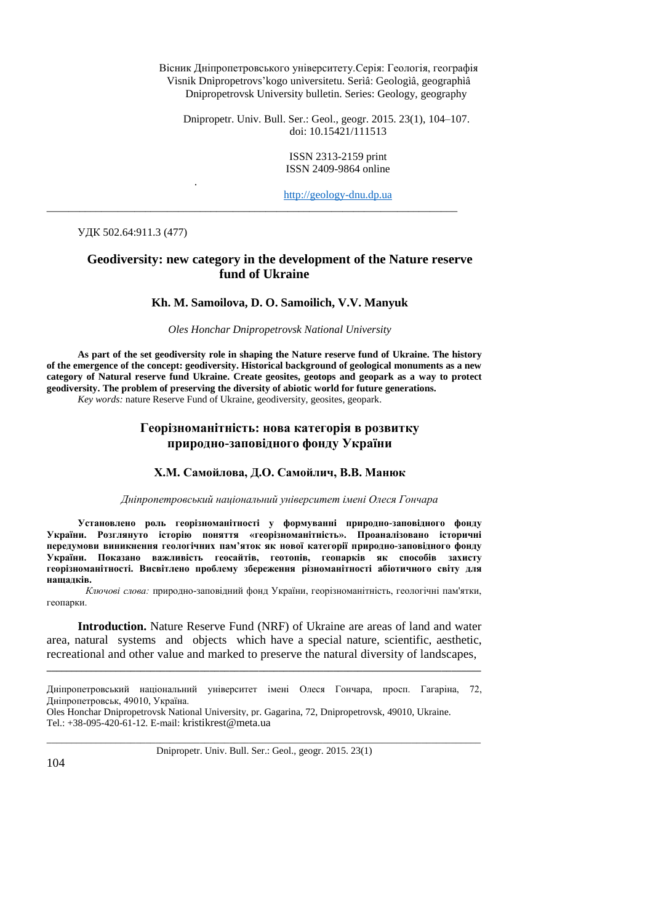Вісник Дніпропетровського університету.Серія: Геологія, географія Vìsnik Dnìpropetrovs'kogo unìversitetu. Serìâ: Geologìâ, geographìâ Dnipropetrovsk University bulletin. Series: Geology, geography

Dnipropetr. Univ. Bull. Ser.: Geol., geogr. 2015. 23(1), 104–107. doi: 10.15421/111513

> ISSN 2313-2159 print ISSN 2409-9864 online

[http://geology-dnu.dp.ua](http://geology-dnu.dp.ua/)

УДК 502.64:911.3 (477)

.

# **Geodiversity: new category in the development of the Nature reserve fund of Ukraine**

\_\_\_\_\_\_\_\_\_\_\_\_\_\_\_\_\_\_\_\_\_\_\_\_\_\_\_\_\_\_\_\_\_\_\_\_\_\_\_\_\_\_\_\_\_\_\_\_\_\_\_\_\_\_\_\_\_\_\_\_\_\_\_\_\_\_\_\_\_\_\_\_\_\_\_

#### **Kh. M. Samoilova, D. O. Samoilich, V.V. Manyuk**

#### *Oles Honchar Dnipropetrovsk National University*

**As part of the set geodiversity role in shaping the Nature reserve fund of Ukraine. The history of the emergence of the concept: geodiversity. Historical background of geological monuments as a new category of Natural reserve fund Ukraine. Create geosites, geotops and geopark as a way to protect geodiversity. The problem of preserving the diversity of abiotic world for future generations.**

*Key words:* nature Reserve Fund of Ukraine, geodiversity, geosites, geopark.

## **Георізноманітність: нова категорія в розвитку природно-заповідного фонду України**

### **Х.М. Самойлова, Д.О. Самойлич, В.В. Манюк**

*Дніпропетровський національний університет імені Олеся Гончара*

**Установлено роль георізноманітності у формуванні природно-заповідного фонду України. Розглянуто історію поняття «георізноманітність». Проаналізовано історичні передумови виникнення геологічних пам'яток як нової категорії природно-заповідного фонду України. Показано важливість геосайтів, геотопів, геопарків як способів захисту георізноманітності. Висвітлено проблему збереження різноманітності абіотичного світу для нащадків.**

*Ключові слова:* природно-заповідний фонд України, георізноманітність, геологічні пам'ятки, геопарки.

**Introduction.** Nature Reserve Fund (NRF) of Ukraine are areas of land and water area, natural systems and objects which have a special nature, scientific, aesthetic, recreational and other value and marked to preserve the natural diversity of landscapes,

**\_\_\_\_\_\_\_\_\_\_\_\_\_\_\_\_\_\_\_\_\_\_\_\_\_\_\_\_\_\_\_\_\_\_\_\_\_\_\_\_\_\_\_\_\_\_\_\_\_\_\_\_\_\_\_\_\_\_\_\_\_\_\_\_\_\_\_\_\_\_\_\_\_\_\_\_\_\_\_\_\_\_\_\_\_\_\_\_**

\_\_\_\_\_\_\_\_\_\_\_\_\_\_\_\_\_\_\_\_\_\_\_\_\_\_\_\_\_\_\_\_\_\_\_\_\_\_\_\_\_\_\_\_\_\_\_\_\_\_\_\_\_\_\_\_\_\_\_\_\_\_\_\_\_\_\_\_\_\_\_\_\_\_\_\_\_\_\_\_\_\_\_\_\_\_\_\_

Dnipropetr. Univ. Bull. Ser.: Geol., geogr. 2015. 23(1)

104

Дніпропетровський національний університет імені Олеся Гончара, просп. Гагаріна, 72, Дніпропетровськ, 49010, Україна.

Oles Honchar Dnipropetrovsk National University, pr. Gagarina, 72, Dnipropetrovsk, 49010, Ukraine. Tel.: +38-095-420-61-12. E-mail: [kristikrest@meta.ua](mailto:kristikrest@meta.ua)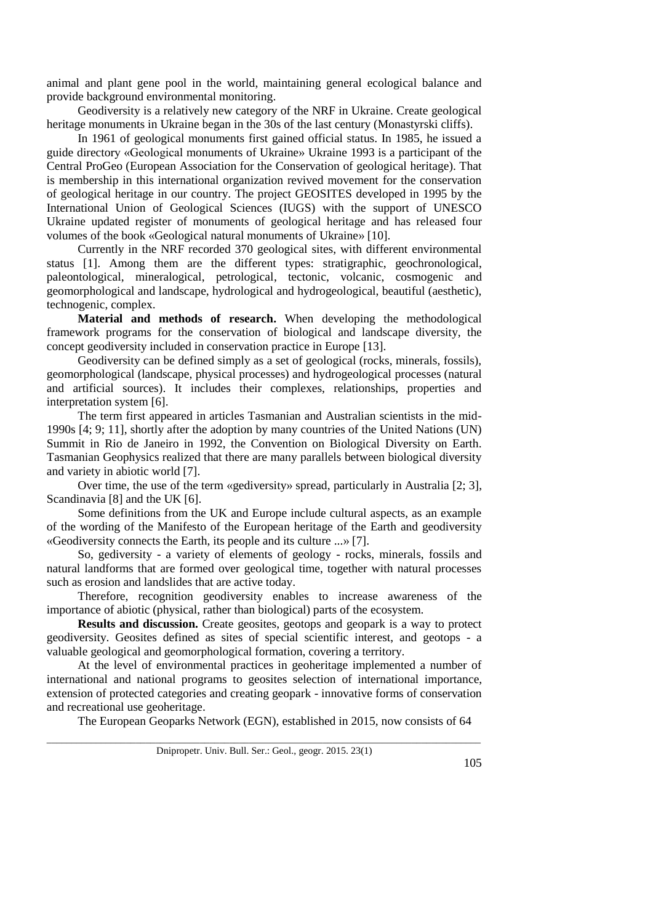animal and plant gene pool in the world, maintaining general ecological balance and provide background environmental monitoring.

Geodiversity is a relatively new category of the NRF in Ukraine. Create geological heritage monuments in Ukraine began in the 30s of the last century (Monastyrski cliffs).

In 1961 of geological monuments first gained official status. In 1985, he issued a guide directory «Geological monuments of Ukraine» Ukraine 1993 is a participant of the Central ProGeo (European Association for the Conservation of geological heritage). That is membership in this international organization revived movement for the conservation of geological heritage in our country. The project GEOSITES developed in 1995 by the International Union of Geological Sciences (IUGS) with the support of UNESCO Ukraine updated register of monuments of geological heritage and has released four volumes of the book «Geological natural monuments of Ukraine» [10].

Currently in the NRF recorded 370 geological sites, with different environmental status [1]. Among them are the different types: stratigraphic, geochronological, paleontological, mineralogical, petrological, tectonic, volcanic, cosmogenic and geomorphological and landscape, hydrological and hydrogeological, beautiful (aesthetic), technogenic, complex.

**Material and methods of research.** When developing the methodological framework programs for the conservation of biological and landscape diversity, the concept geodiversity included in conservation practice in Europe [13].

Geodiversity can be defined simply as a set of geological (rocks, minerals, fossils), geomorphological (landscape, physical processes) and hydrogeological processes (natural and artificial sources). It includes their complexes, relationships, properties and interpretation system [6].

The term first appeared in articles Tasmanian and Australian scientists in the mid-1990s [4; 9; 11], shortly after the adoption by many countries of the United Nations (UN) Summit in Rio de Janeiro in 1992, the Convention on Biological Diversity on Earth. Tasmanian Geophysics realized that there are many parallels between biological diversity and variety in abiotic world [7].

Over time, the use of the term «gediversity» spread, particularly in Australia [2; 3], Scandinavia [8] and the UK [6].

Some definitions from the UK and Europe include cultural aspects, as an example of the wording of the Manifesto of the European heritage of the Earth and geodiversity «Geodiversity connects the Earth, its people and its culture ...» [7].

So, gediversity - a variety of elements of geology - rocks, minerals, fossils and natural landforms that are formed over geological time, together with natural processes such as erosion and landslides that are active today.

Therefore, recognition geodiversity enables to increase awareness of the importance of abiotic (physical, rather than biological) parts of the ecosystem.

**Results and discussion.** Create geosites, geotops and geopark is a way to protect geodiversity. Geosites defined as sites of special scientific interest, and geotops - a valuable geological and geomorphological formation, covering a territory.

At the level of environmental practices in geoheritage implemented a number of international and national programs to geosites selection of international importance, extension of protected categories and creating geopark - innovative forms of conservation and recreational use geoheritage.

The European Geoparks Network (EGN), established in 2015, now consists of 64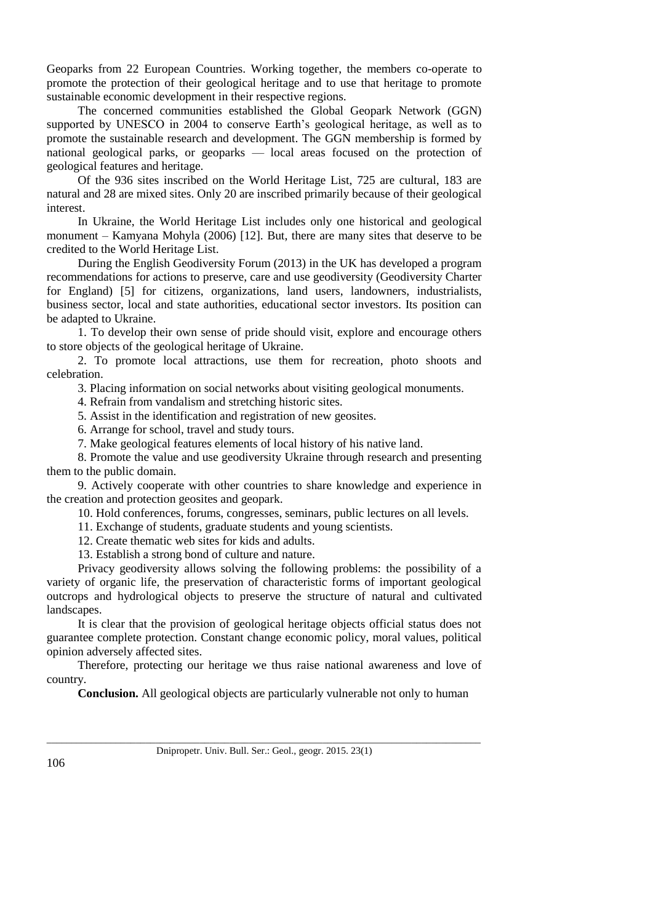Geoparks from 22 European Countries. Working together, the members co-operate to promote the protection of their geological heritage and to use that heritage to promote sustainable economic development in their respective regions.

The concerned communities established the Global Geopark Network (GGN) supported by UNESCO in 2004 to conserve Earth's geological heritage, as well as to promote the sustainable research and development. The GGN membership is formed by national geological parks, or geoparks — local areas focused on the protection of geological features and heritage.

Of the 936 sites inscribed on the World Heritage List, 725 are cultural, 183 are natural and 28 are mixed sites. Only 20 are inscribed primarily because of their geological interest.

In Ukraine, the World Heritage List includes only one historical and geological monument – Kamyana Mohyla (2006) [12]. But, there are many sites that deserve to be credited to the World Heritage List.

During the English Geodiversity Forum (2013) in the UK has developed a program recommendations for actions to preserve, care and use geodiversity (Geodiversity Charter for England) [5] for citizens, organizations, land users, landowners, industrialists, business sector, local and state authorities, educational sector investors. Its position can be adapted to Ukraine.

1. To develop their own sense of pride should visit, explore and encourage others to store objects of the geological heritage of Ukraine.

2. To promote local attractions, use them for recreation, photo shoots and celebration.

3. Placing information on social networks about visiting geological monuments.

4. Refrain from vandalism and stretching historic sites.

5. Assist in the identification and registration of new geosites.

6. Arrange for school, travel and study tours.

7. Make geological features elements of local history of his native land.

8. Promote the value and use geodiversity Ukraine through research and presenting them to the public domain.

9. Actively cooperate with other countries to share knowledge and experience in the creation and protection geosites and geopark.

10. Hold conferences, forums, congresses, seminars, public lectures on all levels.

11. Exchange of students, graduate students and young scientists.

12. Create thematic web sites for kids and adults.

13. Establish a strong bond of culture and nature.

Privacy geodiversity allows solving the following problems: the possibility of a variety of organic life, the preservation of characteristic forms of important geological outcrops and hydrological objects to preserve the structure of natural and cultivated landscapes.

It is clear that the provision of geological heritage objects official status does not guarantee complete protection. Constant change economic policy, moral values, political opinion adversely affected sites.

Therefore, protecting our heritage we thus raise national awareness and love of country.

**Conclusion.** All geological objects are particularly vulnerable not only to human